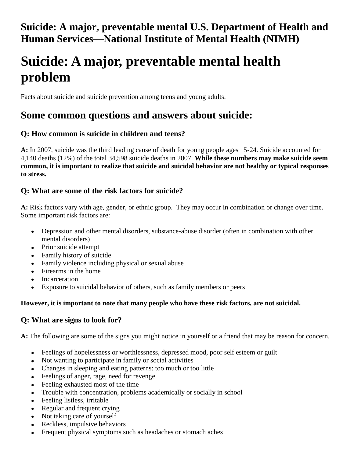# **Suicide: A major, preventable mental U.S. Department of Health and Human Services—National Institute of Mental Health (NIMH)**

# **Suicide: A major, preventable mental health problem**

Facts about suicide and suicide prevention among teens and young adults.

# **Some common questions and answers about suicide:**

## **Q: How common is suicide in children and teens?**

**A:** In 2007, suicide was the third leading cause of death for young people ages 15-24. Suicide accounted for 4,140 deaths (12%) of the total 34,598 suicide deaths in 2007. **While these numbers may make suicide seem common, it is important to realize that suicide and suicidal behavior are not healthy or typical responses to stress.**

### **Q: What are some of the risk factors for suicide?**

**A:** Risk factors vary with age, gender, or ethnic group. They may occur in combination or change over time. Some important risk factors are:

- Depression and other mental disorders, substance-abuse disorder (often in combination with other mental disorders)
- Prior suicide attempt
- Family history of suicide
- Family violence including physical or sexual abuse
- Firearms in the home
- Incarceration
- Exposure to suicidal behavior of others, such as family members or peers

#### **However, it is important to note that many people who have these risk factors, are not suicidal.**

## **Q: What are signs to look for?**

**A:** The following are some of the signs you might notice in yourself or a friend that may be reason for concern.

- Feelings of hopelessness or worthlessness, depressed mood, poor self esteem or guilt
- Not wanting to participate in family or social activities
- Changes in sleeping and eating patterns: too much or too little
- Feelings of anger, rage, need for revenge
- Feeling exhausted most of the time
- Trouble with concentration, problems academically or socially in school
- Feeling listless, irritable
- Regular and frequent crying
- Not taking care of yourself
- Reckless, impulsive behaviors
- Frequent physical symptoms such as headaches or stomach aches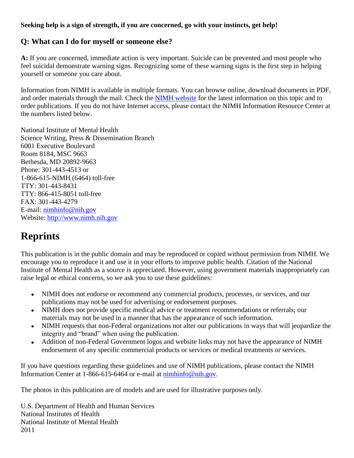#### **Seeking help is a sign of strength, if you are concerned, go with your instincts, get help!**

## **Q: What can I do for myself or someone else?**

**A:** If you are concerned, immediate action is very important. Suicide can be prevented and most people who feel suicidal demonstrate warning signs. Recognizing some of these warning signs is the first step in helping yourself or someone you care about.

Information from NIMH is available in multiple formats. You can browse online, download documents in PDF, and order materials through the mail. Check the [NIMH website](http://www.nimh.nih.gov/index.shtml) for the latest information on this topic and to order publications. If you do not have Internet access, please contact the NIMH Information Resource Center at the numbers listed below.

National Institute of Mental Health Science Writing, Press & Dissemination Branch 6001 Executive Boulevard Room 8184, MSC 9663 Bethesda, MD 20892-9663 Phone: 301-443-4513 or 1-866-615-NIMH (6464) toll-free TTY: 301-443-8431 TTY: 866-415-8051 toll-free FAX: 301-443-4279 E-mail: [nimhinfo@nih.gov](mailto:nimhinfo@nih.gov) Website: [http://www.nimh.nih.gov](http://www.nimh.nih.gov/)

# **Reprints**

This publication is in the public domain and may be reproduced or copied without permission from NIMH. We encourage you to reproduce it and use it in your efforts to improve public health. Citation of the National Institute of Mental Health as a source is appreciated. However, using government materials inappropriately can raise legal or ethical concerns, so we ask you to use these guidelines:

- NIMH does not endorse or recommend any commercial products, processes, or services, and our publications may not be used for advertising or endorsement purposes.
- NIMH does not provide specific medical advice or treatment recommendations or referrals; our materials may not be used in a manner that has the appearance of such information.
- NIMH requests that non-Federal organizations not alter our publications in ways that will jeopardize the integrity and "brand" when using the publication.
- Addition of non-Federal Government logos and website links may not have the appearance of NIMH  $\bullet$ endorsement of any specific commercial products or services or medical treatments or services.

If you have questions regarding these guidelines and use of NIMH publications, please contact the NIMH Information Center at 1-866-615-6464 or e-mail at [nimhinfo@nih.gov.](mailto:nimhinfo@nih.gov)

The photos in this publication are of models and are used for illustrative purposes only.

U.S. Department of Health and Human Services National Institutes of Health National Institute of Mental Health 2011